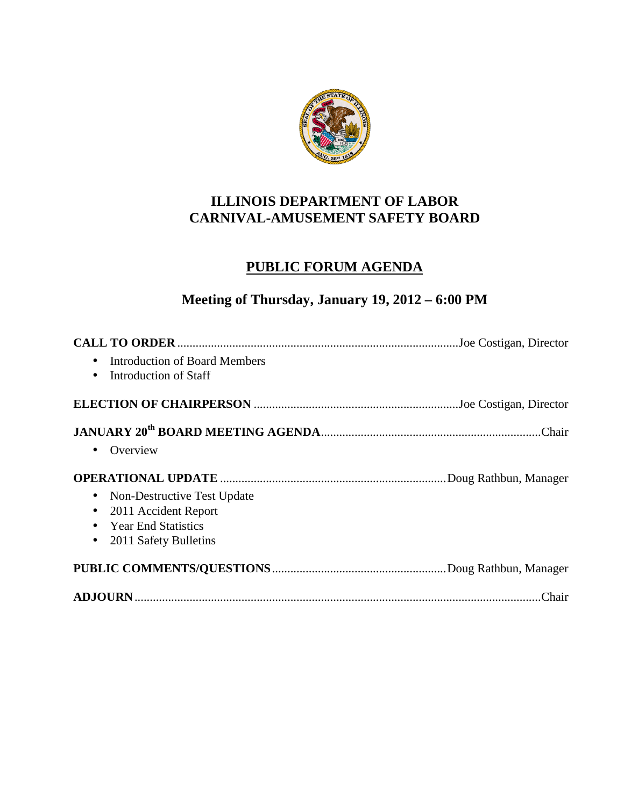

### **ILLINOIS DEPARTMENT OF LABOR CARNIVAL-AMUSEMENT SAFETY BOARD**

## **PUBLIC FORUM AGENDA**

# **Meeting of Thursday, January 19, 2012 – 6:00 PM**

| <b>Introduction of Board Members</b><br>$\bullet$<br>Introduction of Staff<br>$\bullet$ |        |
|-----------------------------------------------------------------------------------------|--------|
|                                                                                         |        |
|                                                                                         |        |
| Overview<br>$\bullet$                                                                   |        |
|                                                                                         |        |
| Non-Destructive Test Update<br>$\bullet$                                                |        |
| 2011 Accident Report<br>$\bullet$                                                       |        |
| <b>Year End Statistics</b><br>$\bullet$                                                 |        |
| 2011 Safety Bulletins<br>$\bullet$                                                      |        |
|                                                                                         |        |
|                                                                                         | .Chair |